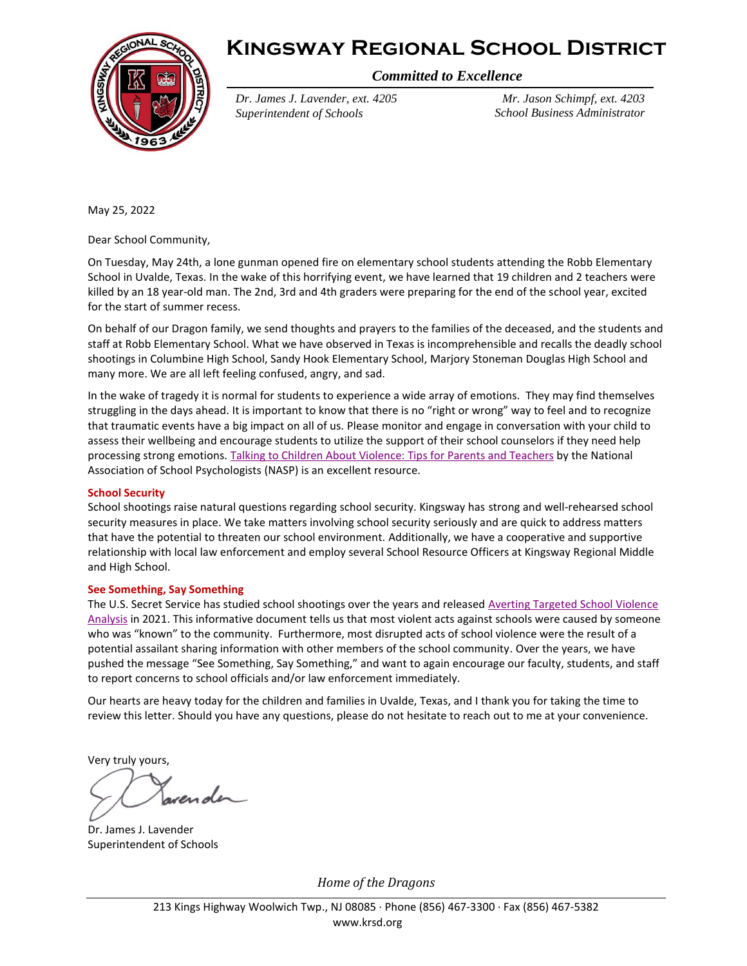



*Committed to Excellence*

*Dr. James J. Lavender, ext. 4205 Superintendent of Schools*

*Mr. Jason Schimpf, ext. 4203 School Business Administrator*

May 25, 2022

Dear School Community,

On Tuesday, May 24th, a lone gunman opened fire on elementary school students attending the Robb Elementary School in Uvalde, Texas. In the wake of this horrifying event, we have learned that 19 children and 2 teachers were killed by an 18 year-old man. The 2nd, 3rd and 4th graders were preparing for the end of the school year, excited for the start of summer recess.

On behalf of our Dragon family, we send thoughts and prayers to the families of the deceased, and the students and staff at Robb Elementary School. What we have observed in Texas is incomprehensible and recalls the deadly school shootings in Columbine High School, Sandy Hook Elementary School, Marjory Stoneman Douglas High School and many more. We are all left feeling confused, angry, and sad.

In the wake of tragedy it is normal for students to experience a wide array of emotions. They may find themselves struggling in the days ahead. It is important to know that there is no "right or wrong" way to feel and to recognize that traumatic events have a big impact on all of us. Please monitor and engage in conversation with your child to assess their wellbeing and encourage students to utilize the support of their school counselors if they need help processing strong emotions. [Talking to Children About Violence: Tips for Parents and Teachers](https://www.nasponline.org/resources-and-publications/resources-and-podcasts/school-safety-and-crisis/school-violence-resources/talking-to-children-about-violence-tips-for-parents-and-teachers) by the National Association of School Psychologists (NASP) is an excellent resource.

## **School Security**

School shootings raise natural questions regarding school security. Kingsway has strong and well-rehearsed school security measures in place. We take matters involving school security seriously and are quick to address matters that have the potential to threaten our school environment. Additionally, we have a cooperative and supportive relationship with local law enforcement and employ several School Resource Officers at Kingsway Regional Middle and High School.

## **See Something, Say Something**

The U.S. Secret Service has studied school shootings over the years and released Averting Targeted School Violence [Analysis](https://www.secretservice.gov/sites/default/files/reports/2021-03/USSS%20Averting%20Targeted%20School%20Violence.2021.03.pdf) in 2021. This informative document tells us that most violent acts against schools were caused by someone who was "known" to the community. Furthermore, most disrupted acts of school violence were the result of a potential assailant sharing information with other members of the school community. Over the years, we have pushed the message "See Something, Say Something," and want to again encourage our faculty, students, and staff to report concerns to school officials and/or law enforcement immediately.

Our hearts are heavy today for the children and families in Uvalde, Texas, and I thank you for taking the time to review this letter. Should you have any questions, please do not hesitate to reach out to me at your convenience.

Very truly yours,

Dr. James J. Lavender Superintendent of Schools

*Home of the Dragons*